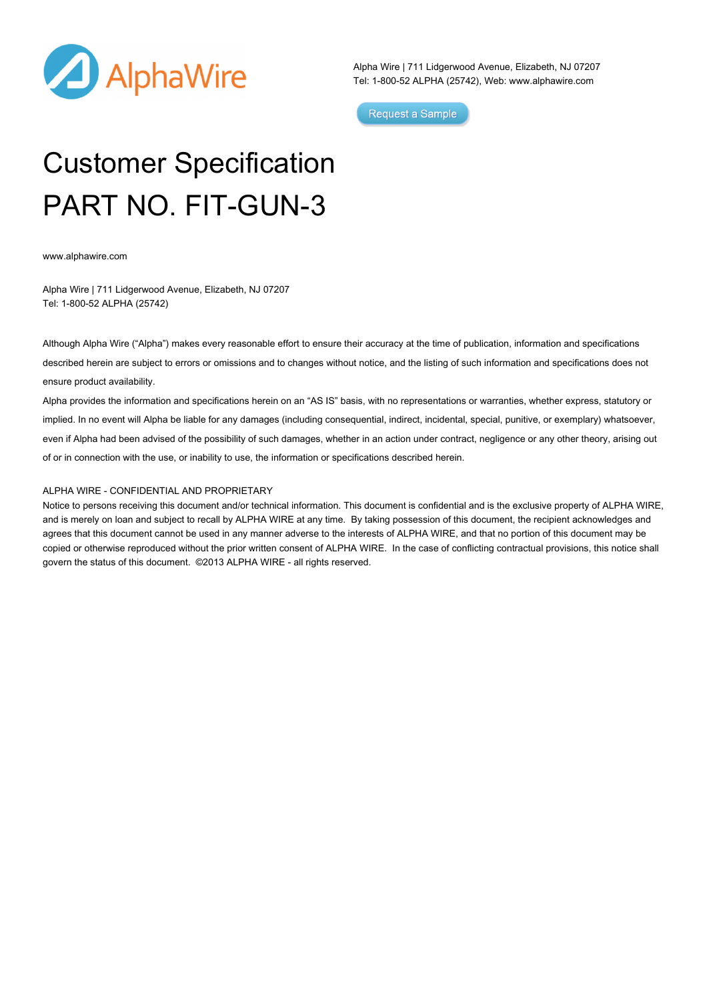

Alpha Wire | 711 Lidgerwood Avenue, Elizabeth, NJ 07207 Tel: 1-800-52 ALPHA (25742), Web: [www.alphawire.com](http://www.alphawire.com)

Request a Sample

## Customer Specification PART NO. FIT-GUN-3

[www.alphawire.com](http://www.alphawire.com)

Alpha Wire | 711 Lidgerwood Avenue, Elizabeth, NJ 07207 Tel: 1-800-52 ALPHA (25742)

Although Alpha Wire ("Alpha") makes every reasonable effort to ensure their accuracy at the time of publication, information and specifications described herein are subject to errors or omissions and to changes without notice, and the listing of such information and specifications does not ensure product availability.

Alpha provides the information and specifications herein on an "AS IS" basis, with no representations or warranties, whether express, statutory or implied. In no event will Alpha be liable for any damages (including consequential, indirect, incidental, special, punitive, or exemplary) whatsoever, even if Alpha had been advised of the possibility of such damages, whether in an action under contract, negligence or any other theory, arising out of or in connection with the use, or inability to use, the information or specifications described herein.

## ALPHA WIRE - CONFIDENTIAL AND PROPRIETARY

Notice to persons receiving this document and/or technical information. This document is confidential and is the exclusive property of ALPHA WIRE, and is merely on loan and subject to recall by ALPHA WIRE at any time. By taking possession of this document, the recipient acknowledges and agrees that this document cannot be used in any manner adverse to the interests of ALPHA WIRE, and that no portion of this document may be copied or otherwise reproduced without the prior written consent of ALPHA WIRE. In the case of conflicting contractual provisions, this notice shall govern the status of this document. ©2013 ALPHA WIRE - all rights reserved.